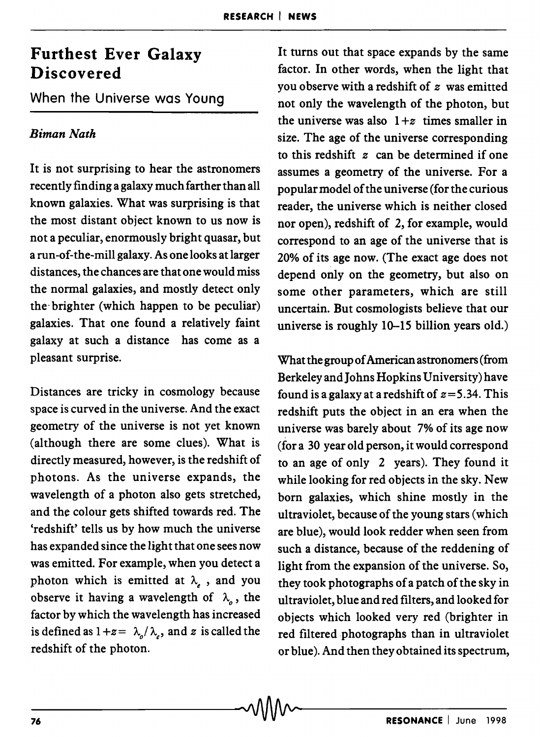## **Furthest Ever Galaxy Discovered**

When the Universe was Young

## *Biman Nath*

It is not surprising to hear the astronomers recently finding a galaxy much farther than all known galaxies. What was surprising is that the most distant object known to us now is not a peculiar, enormously bright quasar, but a run-of-the-mill galaxy. As one looks at larger distances, the chances are that one would miss the normal galaxies, and mostly detect only the" brighter (which happen to be peculiar) galaxies. That one found a relatively faint galaxy at such a distance has come as a pleasant surprise.

Distances are tricky in cosmology because space is curved in the universe. And the exact geometry of the universe is not yet known (although there are some clues). What is directly measured, however, is the redshift of photons. As the universe expands, the wavelength of a photon also gets stretched, and the colour gets shifted towards red. The 'redshift' tells us by how much the universe has expanded since the light that one sees now was emitted. For example, when you detect a photon which is emitted at  $\lambda$ , and you observe it having a wavelength of  $\lambda_{0}$ , the factor by which the wavelength has increased is defined as  $1+z = \lambda_o / \lambda_e$ , and *z* is called the redshift of the photon.

It turns out that space expands by the same factor. In other words, when the light that you observe with a redshift of *z* was emitted not only the wavelength of the photon, but the universe was also  $1+z$  times smaller in size. The age of the universe corresponding to this redshift *z* can be determined if one assumes a geometry of the universe. For a popular model of the universe (for the curious reader, the universe which is neither closed nor open), redshift of 2, for example, would correspond to an age of the universe that is 20% of its age now. (The exact age does not depend only on the geometry, but also on some other parameters, which are still uncertain. But cosmologists believe that our universe is roughly 10-15 billion years old.)

What the group of American astronomers (from Berkeley and Johns Hopkins University) have found is a galaxy at a redshift of  $z=5.34$ . This redshift puts the object in an era when the universe was barely about 7% of its age now (for a 30 year old person, it would correspond to an age of only 2 years). They found it while looking for red objects in the sky. New born galaxies, which shine mostly in the ultraviolet, because of the young stars (which are blue), would look redder when seen from such a distance, because of the reddening of light from the expansion of the universe. So, they took photographs of a patch of the sky in ultraviolet, blue and red filters, and looked for objects which looked very red (brighter in red filtered photographs than in ultraviolet or blue). And then they obtained its spectrum,